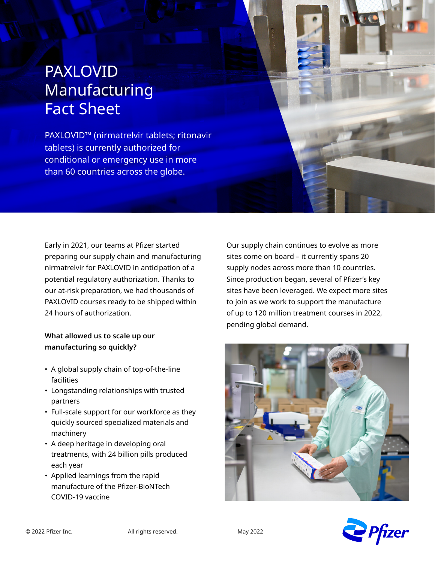# PAXLOVID Manufacturing Fact Sheet

PAXLOVID™ (nirmatrelvir tablets; ritonavir tablets) is currently authorized for conditional or emergency use in more than 60 countries across the globe.

Early in 2021, our teams at Pfizer started preparing our supply chain and manufacturing nirmatrelvir for PAXLOVID in anticipation of a potential regulatory authorization. Thanks to our at-risk preparation, we had thousands of PAXLOVID courses ready to be shipped within 24 hours of authorization.

## **What allowed us to scale up our manufacturing so quickly?**

- A global supply chain of top-of-the-line facilities
- Longstanding relationships with trusted partners
- Full-scale support for our workforce as they quickly sourced specialized materials and machinery
- A deep heritage in developing oral treatments, with 24 billion pills produced each year
- Applied learnings from the rapid manufacture of the Pfizer-BioNTech COVID-19 vaccine

Our supply chain continues to evolve as more sites come on board – it currently spans 20 supply nodes across more than 10 countries. Since production began, several of Pfizer's key sites have been leveraged. We expect more sites to join as we work to support the manufacture of up to 120 million treatment courses in 2022, pending global demand.



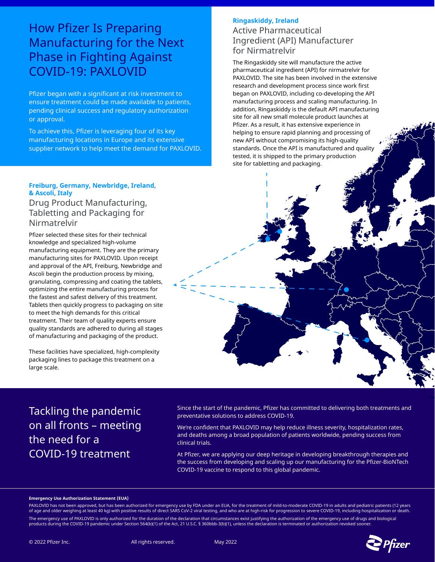## How Pfizer Is Preparing Manufacturing for the Next Phase in Fighting Against COVID-19: PAXLOVID

Pfizer began with a significant at risk investment to ensure treatment could be made available to patients, pending clinical success and regulatory authorization or approval.

To achieve this, Pfizer is leveraging four of its key manufacturing locations in Europe and its extensive supplier network to help meet the demand for PAXLOVID.

#### **Freiburg, Germany, Newbridge, Ireland, & Ascoli, Italy**

### Drug Product Manufacturing, Tabletting and Packaging for Nirmatrelvir

Pfizer selected these sites for their technical knowledge and specialized high-volume manufacturing equipment. They are the primary manufacturing sites for PAXLOVID. Upon receipt and approval of the API, Freiburg, Newbridge and Ascoli begin the production process by mixing, granulating, compressing and coating the tablets, optimizing the entire manufacturing process for the fastest and safest delivery of this treatment. Tablets then quickly progress to packaging on site to meet the high demands for this critical treatment. Their team of quality experts ensure quality standards are adhered to during all stages of manufacturing and packaging of the product.

These facilities have specialized, high-complexity packaging lines to package this treatment on a large scale.

### **Ringaskiddy, Ireland**  Active Pharmaceutical Ingredient (API) Manufacturer

## for Nirmatrelvir

The Ringaskiddy site will manufacture the active pharmaceutical ingredient (API) for nirmatrelvir for PAXLOVID. The site has been involved in the extensive research and development process since work first began on PAXLOVID, including co-developing the API manufacturing process and scaling manufacturing. In addition, Ringaskiddy is the default API manufacturing site for all new small molecule product launches at Pfizer. As a result, it has extensive experience in helping to ensure rapid planning and processing of new API without compromising its high-quality standards. Once the API is manufactured and quality tested, it is shipped to the primary production site for tabletting and packaging.

Tackling the pandemic on all fronts – meeting the need for a COVID-19 treatment

Since the start of the pandemic, Pfizer has committed to delivering both treatments and preventative solutions to address COVID-19.

We're confident that PAXLOVID may help reduce illness severity, hospitalization rates, and deaths among a broad population of patients worldwide, pending success from clinical trials.

At Pfizer, we are applying our deep heritage in developing breakthrough therapies and the success from developing and scaling up our manufacturing for the Pfizer-BioNTech COVID-19 vaccine to respond to this global pandemic.

#### **Emergency Use Authorization Statement (EUA)**

PAXLOVID has not been approved, but has been authorized for emergency use by FDA under an EUA, for the treatment of mild-to-moderate COVID-19 in adults and pediatric patients (12 years of age and older weighing at least 40 kg) with positive results of direct SARS CoV-2 viral testing, and who are at high-risk for progression to severe COVID-19, including hospitalization or death. The emergency use of PAXLOVID is only authorized for the duration of the declaration that circumstances exist justifying the authorization of the emergency use of drugs and biological<br>products during the COVID-19 pandemic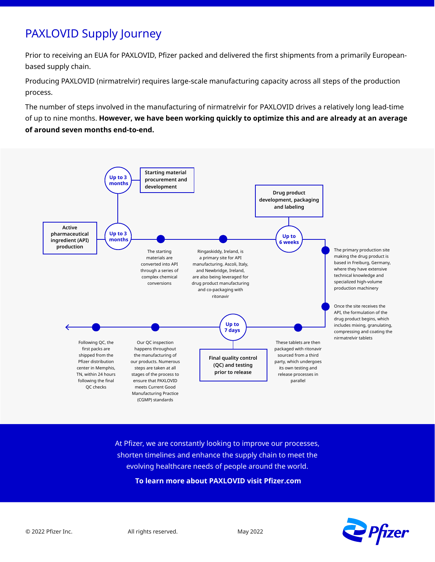## PAXLOVID Supply Journey

Prior to receiving an EUA for PAXLOVID, Pfizer packed and delivered the first shipments from a primarily Europeanbased supply chain.

Producing PAXLOVID (nirmatrelvir) requires large-scale manufacturing capacity across all steps of the production process.

The number of steps involved in the manufacturing of nirmatrelvir for PAXLOVID drives a relatively long lead-time of up to nine months. **However, we have been working quickly to optimize this and are already at an average of around seven months end-to-end.**



At Pfizer, we are constantly looking to improve our processes, shorten timelines and enhance the supply chain to meet the evolving healthcare needs of people around the world.  **To learn more about PAXLOVID visit Pfizer.com**